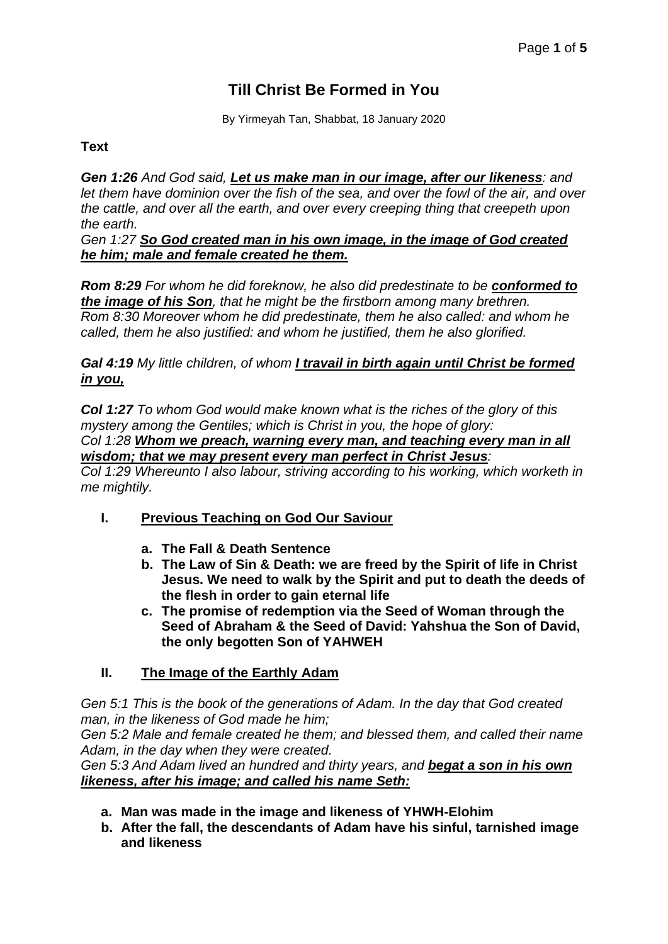# **Till Christ Be Formed in You**

By Yirmeyah Tan, Shabbat, 18 January 2020

#### **Text**

*Gen 1:26 And God said, Let us make man in our image, after our likeness: and let them have dominion over the fish of the sea, and over the fowl of the air, and over the cattle, and over all the earth, and over every creeping thing that creepeth upon the earth.*

*Gen 1:27 So God created man in his own image, in the image of God created he him; male and female created he them.*

*Rom 8:29 For whom he did foreknow, he also did predestinate to be conformed to the image of his Son, that he might be the firstborn among many brethren. Rom 8:30 Moreover whom he did predestinate, them he also called: and whom he called, them he also justified: and whom he justified, them he also glorified.*

#### *Gal 4:19 My little children, of whom I travail in birth again until Christ be formed in you,*

*Col 1:27 To whom God would make known what is the riches of the glory of this mystery among the Gentiles; which is Christ in you, the hope of glory: Col 1:28 Whom we preach, warning every man, and teaching every man in all*

*wisdom; that we may present every man perfect in Christ Jesus:*

*Col 1:29 Whereunto I also labour, striving according to his working, which worketh in me mightily.*

- **I. Previous Teaching on God Our Saviour**
	- **a. The Fall & Death Sentence**
	- **b. The Law of Sin & Death: we are freed by the Spirit of life in Christ Jesus. We need to walk by the Spirit and put to death the deeds of the flesh in order to gain eternal life**
	- **c. The promise of redemption via the Seed of Woman through the Seed of Abraham & the Seed of David: Yahshua the Son of David, the only begotten Son of YAHWEH**

#### **II. The Image of the Earthly Adam**

*Gen 5:1 This is the book of the generations of Adam. In the day that God created man, in the likeness of God made he him;*

*Gen 5:2 Male and female created he them; and blessed them, and called their name Adam, in the day when they were created.*

*Gen 5:3 And Adam lived an hundred and thirty years, and begat a son in his own likeness, after his image; and called his name Seth:*

- **a. Man was made in the image and likeness of YHWH-Elohim**
- **b. After the fall, the descendants of Adam have his sinful, tarnished image and likeness**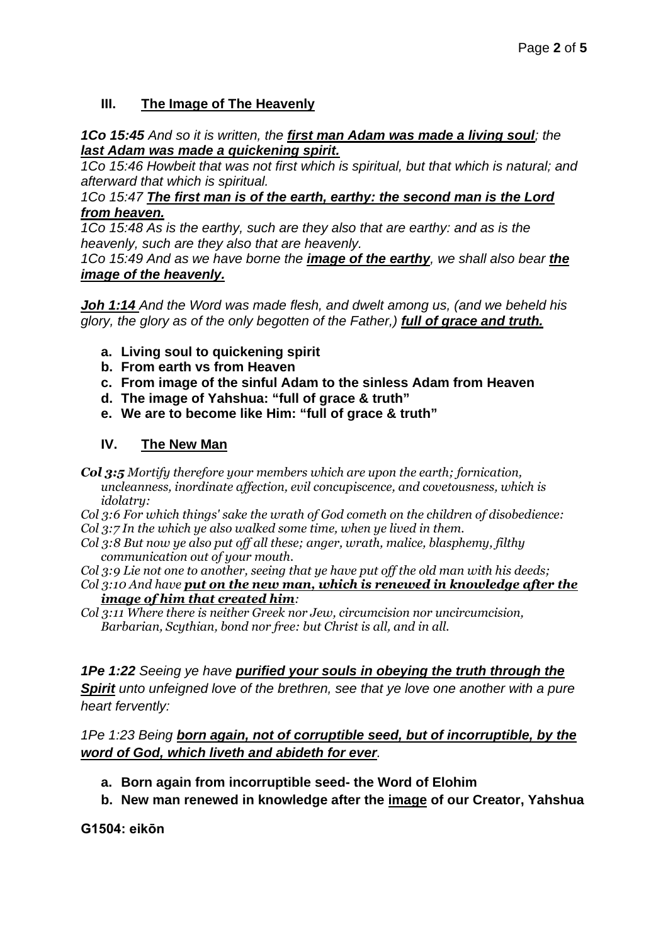# **III. The Image of The Heavenly**

# *1Co 15:45 And so it is written, the first man Adam was made a living soul; the last Adam was made a quickening spirit.*

*1Co 15:46 Howbeit that was not first which is spiritual, but that which is natural; and afterward that which is spiritual.*

*1Co 15:47 The first man is of the earth, earthy: the second man is the Lord from heaven.*

*1Co 15:48 As is the earthy, such are they also that are earthy: and as is the heavenly, such are they also that are heavenly.*

*1Co 15:49 And as we have borne the image of the earthy, we shall also bear the image of the heavenly.*

*Joh 1:14 And the Word was made flesh, and dwelt among us, (and we beheld his glory, the glory as of the only begotten of the Father,) full of grace and truth.*

- **a. Living soul to quickening spirit**
- **b. From earth vs from Heaven**
- **c. From image of the sinful Adam to the sinless Adam from Heaven**
- **d. The image of Yahshua: "full of grace & truth"**
- **e. We are to become like Him: "full of grace & truth"**

# **IV. The New Man**

- *Col 3:5 Mortify therefore your members which are upon the earth; fornication, uncleanness, inordinate affection, evil concupiscence, and covetousness, which is idolatry:*
- *Col 3:6 For which things' sake the wrath of God cometh on the children of disobedience:*
- *Col 3:7 In the which ye also walked some time, when ye lived in them.*
- *Col 3:8 But now ye also put off all these; anger, wrath, malice, blasphemy, filthy communication out of your mouth.*

*Col 3:9 Lie not one to another, seeing that ye have put off the old man with his deeds;*

- *Col 3:10 And have put on the new man, which is renewed in knowledge after the image of him that created him:*
- *Col 3:11 Where there is neither Greek nor Jew, circumcision nor uncircumcision, Barbarian, Scythian, bond nor free: but Christ is all, and in all.*

*1Pe 1:22 Seeing ye have purified your souls in obeying the truth through the Spirit unto unfeigned love of the brethren, see that ye love one another with a pure heart fervently:*

*1Pe 1:23 Being born again, not of corruptible seed, but of incorruptible, by the word of God, which liveth and abideth for ever.*

- **a. Born again from incorruptible seed- the Word of Elohim**
- **b. New man renewed in knowledge after the image of our Creator, Yahshua**

**G1504: eikōn**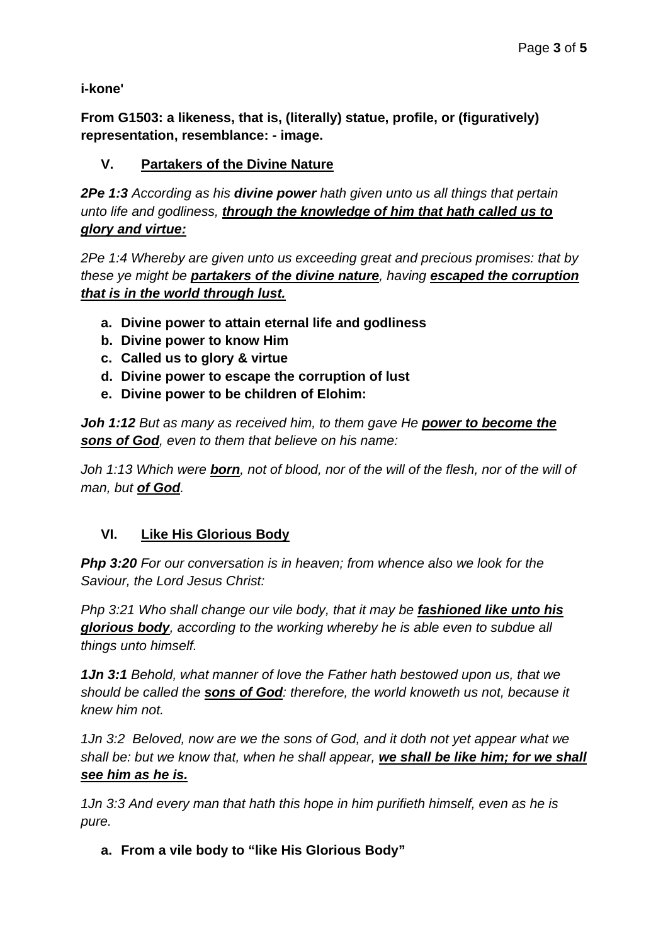**i-kone'**

**From G1503: a likeness, that is, (literally) statue, profile, or (figuratively) representation, resemblance: - image.**

# **V. Partakers of the Divine Nature**

*2Pe 1:3 According as his divine power hath given unto us all things that pertain unto life and godliness, through the knowledge of him that hath called us to glory and virtue:*

*2Pe 1:4 Whereby are given unto us exceeding great and precious promises: that by these ye might be partakers of the divine nature, having escaped the corruption that is in the world through lust.*

- **a. Divine power to attain eternal life and godliness**
- **b. Divine power to know Him**
- **c. Called us to glory & virtue**
- **d. Divine power to escape the corruption of lust**
- **e. Divine power to be children of Elohim:**

*Joh 1:12 But as many as received him, to them gave He power to become the sons of God, even to them that believe on his name:*

*Joh 1:13 Which were born, not of blood, nor of the will of the flesh, nor of the will of man, but of God.*

# **VI. Like His Glorious Body**

*Php 3:20 For our conversation is in heaven; from whence also we look for the Saviour, the Lord Jesus Christ:*

*Php 3:21 Who shall change our vile body, that it may be fashioned like unto his glorious body, according to the working whereby he is able even to subdue all things unto himself.*

*1Jn 3:1 Behold, what manner of love the Father hath bestowed upon us, that we should be called the sons of God: therefore, the world knoweth us not, because it knew him not.*

*1Jn 3:2 Beloved, now are we the sons of God, and it doth not yet appear what we shall be: but we know that, when he shall appear, we shall be like him; for we shall see him as he is.*

*1Jn 3:3 And every man that hath this hope in him purifieth himself, even as he is pure.*

**a. From a vile body to "like His Glorious Body"**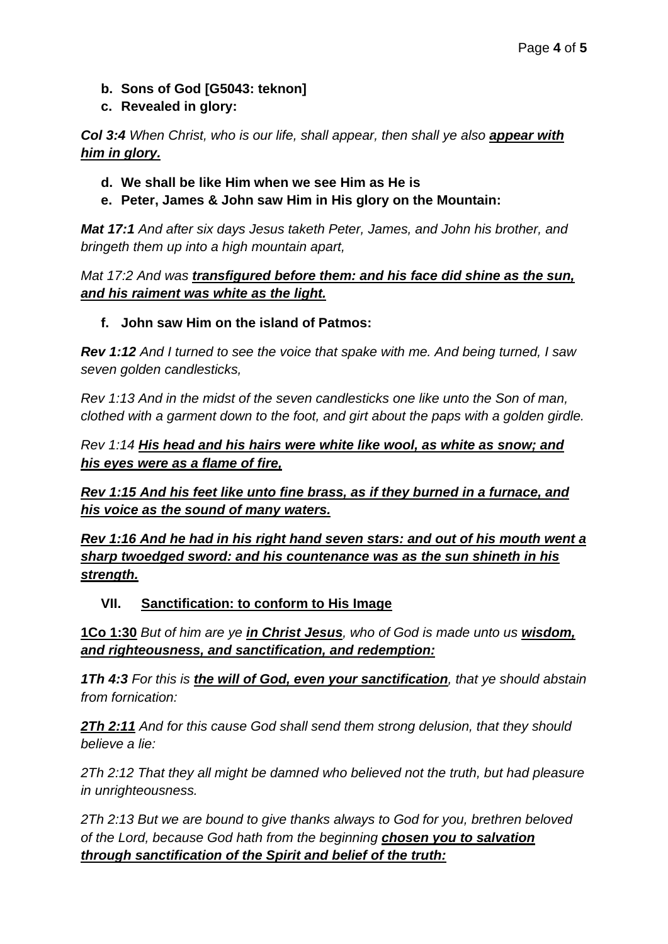- **b. Sons of God [G5043: teknon]**
- **c. Revealed in glory:**

*Col 3:4 When Christ, who is our life, shall appear, then shall ye also appear with him in glory.*

# **d. We shall be like Him when we see Him as He is**

**e. Peter, James & John saw Him in His glory on the Mountain:**

*Mat 17:1 And after six days Jesus taketh Peter, James, and John his brother, and bringeth them up into a high mountain apart,*

# *Mat 17:2 And was transfigured before them: and his face did shine as the sun, and his raiment was white as the light.*

# **f. John saw Him on the island of Patmos:**

*Rev 1:12 And I turned to see the voice that spake with me. And being turned, I saw seven golden candlesticks,*

*Rev 1:13 And in the midst of the seven candlesticks one like unto the Son of man, clothed with a garment down to the foot, and girt about the paps with a golden girdle.*

# *Rev 1:14 His head and his hairs were white like wool, as white as snow; and his eyes were as a flame of fire,*

*Rev 1:15 And his feet like unto fine brass, as if they burned in a furnace, and his voice as the sound of many waters.*

*Rev 1:16 And he had in his right hand seven stars: and out of his mouth went a sharp twoedged sword: and his countenance was as the sun shineth in his strength.*

# **VII. Sanctification: to conform to His Image**

**1Co 1:30** *But of him are ye in Christ Jesus, who of God is made unto us wisdom, and righteousness, and sanctification, and redemption:*

*1Th 4:3 For this is the will of God, even your sanctification, that ye should abstain from fornication:*

*2Th 2:11 And for this cause God shall send them strong delusion, that they should believe a lie:*

*2Th 2:12 That they all might be damned who believed not the truth, but had pleasure in unrighteousness.*

*2Th 2:13 But we are bound to give thanks always to God for you, brethren beloved of the Lord, because God hath from the beginning chosen you to salvation through sanctification of the Spirit and belief of the truth:*